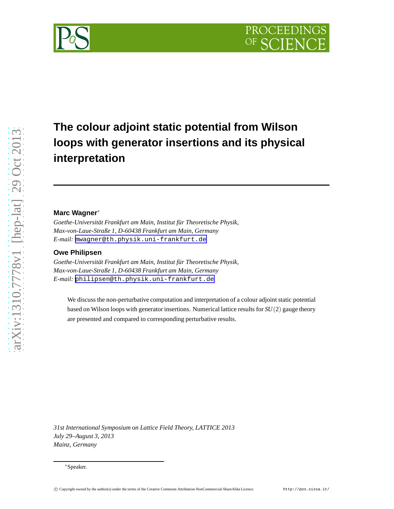

# **The colour adjoint static potential from Wilson loops with generator insertions and its physical interpretation**

## **Marc Wagner**<sup>∗</sup>

*Goethe-Universität Frankfurt am Main, Institut für Theoretische Physik, Max-von-Laue-Straße 1, D-60438 Frankfurt am Main, Germany E-mail:* [mwagner@th.physik.uni-frankfurt.de](mailto:mwagner@th.physik.uni-frankfurt.de)

## **Owe Philipsen**

*Goethe-Universität Frankfurt am Main, Institut für Theoretische Physik, Max-von-Laue-Straße 1, D-60438 Frankfurt am Main, Germany E-mail:* [philipsen@th.physik.uni-frankfurt.de](mailto:philipsen@th.physik.uni-frankfurt.de)

We discuss the non-perturbative computation and interpretation of a colour adjoint static potential based on Wilson loops with generator insertions. Numerical lattice results for *SU*(2) gauge theory are presented and compared to corresponding perturbative results.

*31st International Symposium on Lattice Field Theory, LATTICE 2013 July 29–August 3, 2013 Mainz, Germany*

<sup>∗</sup>Speaker.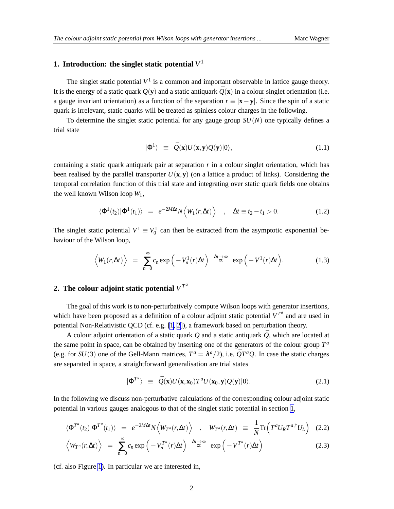## <span id="page-1-0"></span>**1. Introduction: the singlet static potential** *V* 1

The singlet static potential  $V^1$  is a common and important observable in lattice gauge theory. It is the energy of a static quark  $Q(y)$  and a static antiquark  $\overline{Q}(x)$  in a colour singlet orientation (i.e. a gauge invariant orientation) as a function of the separation *r* ≡ |**x**−**y**|. Since the spin of a static quark is irrelevant, static quarks will be treated as spinless colour charges in the following.

To determine the singlet static potential for any gauge group *SU*(*N*) one typically defines a trial state

$$
|\Phi^1\rangle \equiv \bar{Q}(\mathbf{x})U(\mathbf{x}, \mathbf{y})Q(\mathbf{y})|0\rangle, \tag{1.1}
$$

containing a static quark antiquark pair at separation *r* in a colour singlet orientation, which has been realised by the parallel transporter  $U(\mathbf{x}, \mathbf{y})$  (on a lattice a product of links). Considering the temporal correlation function of this trial state and integrating over static quark fields one obtains the well known Wilson loop *W*1,

$$
\langle \Phi^1(t_2) | \Phi^1(t_1) \rangle = e^{-2M\Delta t} N \langle W_1(r, \Delta t) \rangle , \quad \Delta t \equiv t_2 - t_1 > 0. \tag{1.2}
$$

The singlet static potential  $V^1 \equiv V_0^1$  can then be extracted from the asymptotic exponential behaviour of the Wilson loop,

$$
\left\langle W_1(r,\Delta t)\right\rangle = \sum_{n=0}^{\infty} c_n \exp\left(-V_n^1(r)\Delta t\right) \stackrel{\Delta t \to \infty}{\propto} \exp\left(-V^1(r)\Delta t\right). \tag{1.3}
$$

## **2.** The colour adjoint static potential  $V^{T^d}$

The goal of this work is to non-perturbatively compute Wilson loops with generator insertions, which have been proposed as a definition of a colour adjoint static potential  $V^{T^a}$  and are used in potential Non-Relativistic QCD (cf. e.g. [\[1, 2\]](#page-6-0)), a framework based on perturbation theory.

A colour adjoint orientation of a static quark  $Q$  and a static antiquark  $\overline{Q}$ , which are located at the same point in space, can be obtained by inserting one of the generators of the colour group  $T^a$ (e.g. for *SU*(3) one of the Gell-Mann matrices,  $T^a = \lambda^a/2$ ), i.e.  $\overline{Q}T^aQ$ . In case the static charges are separated in space, a straightforward generalisation are trial states

$$
|\Phi^{T^a}\rangle \equiv \bar{Q}(\mathbf{x})U(\mathbf{x},\mathbf{x}_0)T^aU(\mathbf{x}_0,\mathbf{y})Q(\mathbf{y})|0\rangle.
$$
 (2.1)

In the following we discuss non-perturbative calculations of the corresponding colour adjoint static potential in various gauges analogous to that of the singlet static potential in section 1,

$$
\langle \Phi^{T^a}(t_2) | \Phi^{T^a}(t_1) \rangle = e^{-2M\Delta t} N \langle W_{T^a}(r, \Delta t) \rangle , \quad W_{T^a}(r, \Delta t) \equiv \frac{1}{N} \text{Tr} \Big( T^a U_R T^{a, \dagger} U_L \Big) \quad (2.2)
$$

$$
\left\langle W_{T^a}(r,\Delta t)\right\rangle = \sum_{n=0}^{\infty} c_n \exp\left(-V_n^{T^a}(r)\Delta t\right) \stackrel{\Delta t \to \infty}{\sim} \exp\left(-V^{T^a}(r)\Delta t\right)
$$
 (2.3)

(cf. also Figure [1\)](#page-2-0). In particular we are interested in,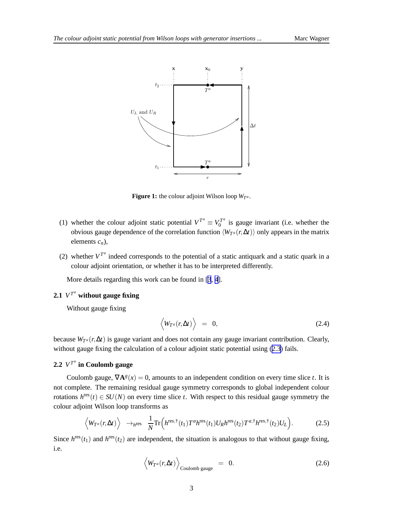<span id="page-2-0"></span>

**Figure 1:** the colour adjoint Wilson loop  $W_{T^a}$ .

- (1) whether the colour adjoint static potential  $V^{T^a} \equiv V_0^{T^a}$  $\int_0^{T^u}$  is gauge invariant (i.e. whether the obvious gauge dependence of the correlation function  $\langle W_{T^a}(r,\Delta t)\rangle$  only appears in the matrix elements *cn*),
- (2) whether  $V^{T^a}$  indeed corresponds to the potential of a static antiquark and a static quark in a colour adjoint orientation, or whether it has to be interpreted differently.

More details regarding this work can be found in [[3](#page-6-0), [4](#page-6-0)].

## **2.1**  $V^{T^a}$  without gauge fixing

Without gauge fixing

$$
\langle W_{T^a}(r,\Delta t)\rangle = 0, \qquad (2.4)
$$

because *W<sup>T</sup> <sup>a</sup>* (*r*,∆*t*) is gauge variant and does not contain any gauge invariant contribution. Clearly, without gauge fixing the calculation of a colour adjoint static potential using  $(2.3)$  $(2.3)$  $(2.3)$  fails.

## **2.2**  $V^{T^a}$  in Coulomb gauge

Coulomb gauge,  $\nabla \mathbf{A}^{g}(x) = 0$ , amounts to an independent condition on every time slice *t*. It is not complete. The remaining residual gauge symmetry corresponds to global independent colour rotations  $h^{\text{res}}(t) \in SU(N)$  on every time slice *t*. With respect to this residual gauge symmetry the colour adjoint Wilson loop transforms as

$$
\left\langle W_{T^a}(r,\Delta t)\right\rangle \rightarrow_{h^{\text{res}}} \frac{1}{N} \text{Tr}\left(h^{\text{res},\dagger}(t_1) T^a h^{\text{res}}(t_1) U_R h^{\text{res}}(t_2) T^{a,\dagger} h^{\text{res},\dagger}(t_2) U_L\right). \tag{2.5}
$$

Since  $h^{\text{res}}(t_1)$  and  $h^{\text{res}}(t_2)$  are independent, the situation is analogous to that without gauge fixing, i.e.

$$
\left\langle W_{T^a}(r,\Delta t)\right\rangle_{\text{Coulomb gauge}} = 0. \tag{2.6}
$$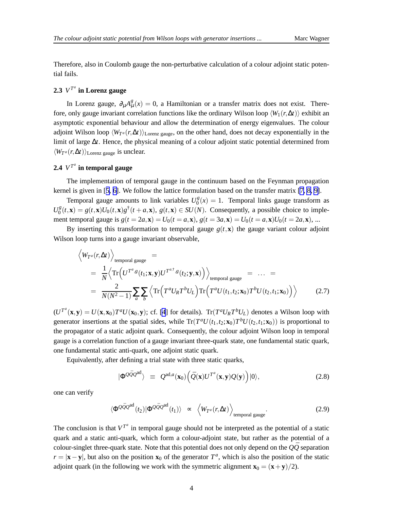<span id="page-3-0"></span>Therefore, also in Coulomb gauge the non-perturbative calculation of a colour adjoint static potential fails.

## **2.3**  $V^{T^a}$  in Lorenz gauge

In Lorenz gauge,  $\partial_{\mu}A_{\mu}^{g}(x) = 0$ , a Hamiltonian or a transfer matrix does not exist. Therefore, only gauge invariant correlation functions like the ordinary Wilson loop  $\langle W_1(r,\Delta t)\rangle$  exhibit an asymptotic exponential behaviour and allow the determination of energy eigenvalues. The colour adjoint Wilson loop  $\langle W_{T^a}(r,\Delta t)\rangle_{\text{Lorenz gauge}}$ , on the other hand, does not decay exponentially in the limit of large ∆*t*. Hence, the physical meaning of a colour adjoint static potential determined from  $\langle W_{T^a}(r, \Delta t) \rangle$ <sub>Lorenz gauge</sub> is unclear.

## **2.4**  $V^{T^a}$  in temporal gauge

The implementation of temporal gauge in the continuum based on the Feynman propagation kernel is given in [[5](#page-6-0), [6\]](#page-6-0). We follow the lattice formulation based on the transfer matrix [\[7, 8, 9\]](#page-6-0).

Temporal gauge amounts to link variables  $U_0^g$  $\binom{g}{0}(x) = 1$ . Temporal links gauge transform as  $U_0^g$  $g_0^g(t, \mathbf{x}) = g(t, \mathbf{x})U_0(t, \mathbf{x})g^{\dagger}(t + a, \mathbf{x}), g(t, \mathbf{x}) \in SU(N)$ . Consequently, a possible choice to implement temporal gauge is  $g(t = 2a, \mathbf{x}) = U_0(t = a, \mathbf{x}), g(t = 3a, \mathbf{x}) = U_0(t = a, \mathbf{x})U_0(t = 2a, \mathbf{x}), ...$ 

By inserting this transformation to temporal gauge  $g(t, \mathbf{x})$  the gauge variant colour adjoint Wilson loop turns into a gauge invariant observable,

$$
\left\langle W_{T^a}(r,\Delta t)\right\rangle_{\text{temporal gauge}} =\n= \frac{1}{N} \left\langle \text{Tr}\left( U^{T^a, g}(t_1; \mathbf{x}, \mathbf{y}) U^{T^{a, \dagger}, g}(t_2; \mathbf{y}, \mathbf{x}) \right) \right\rangle_{\text{temporal gauge}} = \dots =\n= \frac{2}{N(N^2-1)} \sum_{a} \sum_{b} \left\langle \text{Tr}\left( T^a U_R T^b U_L \right) \text{Tr}\left( T^a U(t_1, t_2; \mathbf{x}_0) T^b U(t_2, t_1; \mathbf{x}_0) \right) \right\rangle
$$
\n(2.7)

 $(U^{T^a}(\mathbf{x}, \mathbf{y}) = U(\mathbf{x}, \mathbf{x}_0)T^aU(\mathbf{x}_0, \mathbf{y});$  cf. [\[4](#page-6-0)] for details). Tr $(T^aU_RT^bU_L)$  denotes a Wilson loop with generator insertions at the spatial sides, while  $Tr(T^a U(t_1,t_2; \mathbf{x}_0) T^b U(t_2,t_1; \mathbf{x}_0))$  is proportional to the propagator of a static adjoint quark. Consequently, the colour adjoint Wilson loop in temporal gauge is a correlation function of a gauge invariant three-quark state, one fundamental static quark, one fundamental static anti-quark, one adjoint static quark.

Equivalently, after defining a trial state with three static quarks,

$$
|\Phi^{\mathcal{Q}\bar{\mathcal{Q}}\mathcal{Q}^{ad}}\rangle \equiv \mathcal{Q}^{ad,a}(\mathbf{x}_0) \Big(\bar{\mathcal{Q}}(\mathbf{x})U^{T^a}(\mathbf{x}, \mathbf{y})\mathcal{Q}(\mathbf{y})\Big)|0\rangle, \tag{2.8}
$$

one can verify

$$
\langle \Phi^{\mathcal{Q}\bar{\mathcal{Q}}\mathcal{Q}^{ad}}(t_2)|\Phi^{\mathcal{Q}\bar{\mathcal{Q}}\mathcal{Q}^{ad}}(t_1)\rangle \sim \langle W_{T^a}(r,\Delta t)\rangle_{\text{temporal gauge}}.\tag{2.9}
$$

The conclusion is that  $V^{T^a}$  in temporal gauge should not be interpreted as the potential of a static quark and a static anti-quark, which form a colour-adjoint state, but rather as the potential of a colour-singlet three-quark state. Note that this potential does not only depend on the  $\overrightarrow{O}$  separation  $r = |\mathbf{x} - \mathbf{y}|$ , but also on the position  $\mathbf{x}_0$  of the generator  $T^a$ , which is also the position of the static adjoint quark (in the following we work with the symmetric alignment  $\mathbf{x}_0 = (\mathbf{x} + \mathbf{y})/2$ ).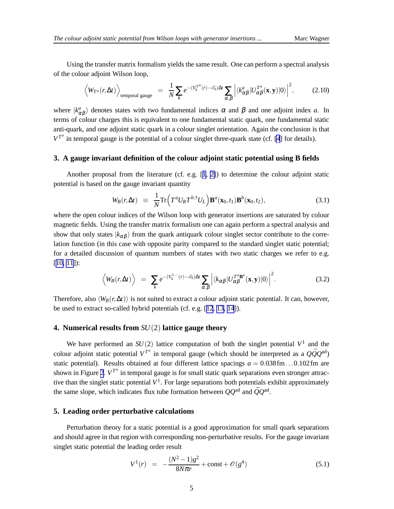Using the transfer matrix formalism yields the same result. One can perform a spectral analysis of the colour adjoint Wilson loop,

$$
\left\langle W_{T^a}(r,\Delta t)\right\rangle_{\text{temporal gauge}} = \frac{1}{N} \sum_k e^{-(V_k^{T^a}(r) - \mathcal{E}_0)\Delta t} \sum_{\alpha,\beta} \left| \langle k^a_{\alpha\beta} | U_{\alpha\beta}^{T^a}(\mathbf{x}, \mathbf{y}) | 0 \rangle \right|^2, \tag{2.10}
$$

where  $|k_{\alpha\beta}^a\rangle$  denotes states with two fundamental indices  $\alpha$  and  $\beta$  and one adjoint index *a*. In terms of colour charges this is equivalent to one fundamental static quark, one fundamental static anti-quark, and one adjoint static quark in a colour singlet orientation. Again the conclusion is that  $V^{T^a}$  in temporal gauge is the potential of a colour singlet three-quark state (cf. [\[4](#page-6-0)] for details).

#### **3. A gauge invariant definition of the colour adjoint static potential using B fields**

Another proposal from the literature (cf. e.g. [[1](#page-6-0), [2\]](#page-6-0)) to determine the colour adjoint static potential is based on the gauge invariant quantity

$$
W_B(r, \Delta t) \equiv \frac{1}{N} \text{Tr} \Big( T^a U_R T^{b, \dagger} U_L \Big) \mathbf{B}^a(\mathbf{x}_0, t_1) \mathbf{B}^b(\mathbf{x}_0, t_2), \tag{3.1}
$$

where the open colour indices of the Wilson loop with generator insertions are saturated by colour magnetic fields. Using the transfer matrix formalism one can again perform a spectral analysis and show that only states  $|k_{\alpha\beta}\rangle$  from the quark antiquark colour singlet sector contribute to the correlation function (in this case with opposite parity compared to the standard singlet static potential; for a detailed discussion of quantum numbers of states with two static charges we refer to e.g. [[10, 11](#page-6-0)]):

$$
\left\langle W_B(r,\Delta t)\right\rangle = \sum_{k} e^{-(V_k^{1,-}(r)-\mathscr{E}_0)\Delta t} \sum_{\alpha,\beta} \left| \langle k_{\alpha\beta} | U_{\alpha\beta}^{T^a}(\mathbf{x}, \mathbf{y}) | 0 \rangle \right|^2. \tag{3.2}
$$

Therefore, also  $\langle W_B(r,\Delta t)\rangle$  is not suited to extract a colour adjoint static potential. It can, however, be used to extract so-called hybrid potentials (cf. e.g. [[12](#page-6-0), [13, 14](#page-6-0)]).

#### **4. Numerical results from** *SU*(2) **lattice gauge theory**

We have performed an  $SU(2)$  lattice computation of both the singlet potential  $V^1$  and the colour adjoint static potential  $V^{T^a}$  in temporal gauge (which should be interpreted as a  $Q\bar{Q}Q^{ad}$ ) static potential). Results obtained at four different lattice spacings  $a = 0.038$  fm...0.102 fm are shown in Figure [2](#page-5-0).  $V^{T^a}$  in temporal gauge is for small static quark separations even stronger attractive than the singlet static potential *V* 1 . For large separations both potentials exhibit approximately the same slope, which indicates flux tube formation between  $QQ^{ad}$  and  $\bar{Q}Q^{ad}$ .

#### **5. Leading order perturbative calculations**

Perturbation theory for a static potential is a good approximation for small quark separations and should agree in that region with corresponding non-perturbative results. For the gauge invariant singlet static potential the leading order result

$$
V^{1}(r) = -\frac{(N^{2}-1)g^{2}}{8N\pi r} + \text{const} + \mathcal{O}(g^{4})
$$
\n(5.1)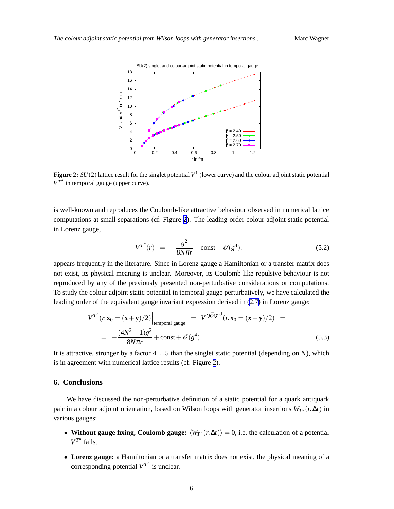<span id="page-5-0"></span>

**Figure 2:**  $SU(2)$  lattice result for the singlet potential  $V^1$  (lower curve) and the colour adjoint static potential  $V^{T^a}$  in temporal gauge (upper curve).

is well-known and reproduces the Coulomb-like attractive behaviour observed in numerical lattice computations at small separations (cf. Figure 2). The leading order colour adjoint static potential in Lorenz gauge,

$$
V^{T^a}(r) = +\frac{g^2}{8N\pi r} + \text{const} + \mathcal{O}(g^4). \tag{5.2}
$$

appears frequently in the literature. Since in Lorenz gauge a Hamiltonian or a transfer matrix does not exist, its physical meaning is unclear. Moreover, its Coulomb-like repulsive behaviour is not reproduced by any of the previously presented non-perturbative considerations or computations. To study the colour adjoint static potential in temporal gauge perturbatively, we have calculated the leading order of the equivalent gauge invariant expression derived in ([2.7\)](#page-3-0) in Lorenz gauge:

$$
V^{T^a}(r, \mathbf{x}_0 = (\mathbf{x} + \mathbf{y})/2)\Big|_{\text{temporal gauge}} = V^{Q\bar{Q}Q^{ad}}(r, \mathbf{x}_0 = (\mathbf{x} + \mathbf{y})/2) =
$$
  
= 
$$
-\frac{(4N^2 - 1)g^2}{8N\pi r} + \text{const} + \mathcal{O}(g^4).
$$
 (5.3)

It is attractive, stronger by a factor 4...5 than the singlet static potential (depending on *N*), which is in agreement with numerical lattice results (cf. Figure 2).

## **6. Conclusions**

We have discussed the non-perturbative definition of a static potential for a quark antiquark pair in a colour adjoint orientation, based on Wilson loops with generator insertions  $W_{T^a}(r, \Delta t)$  in various gauges:

- **Without gauge fixing, Coulomb gauge:**  $\langle W_{T^a}(r, \Delta t) \rangle = 0$ , i.e. the calculation of a potential  $V^{T^a}$  fails.
- **Lorenz gauge:** a Hamiltonian or a transfer matrix does not exist, the physical meaning of a corresponding potential  $V^{T^a}$  is unclear.